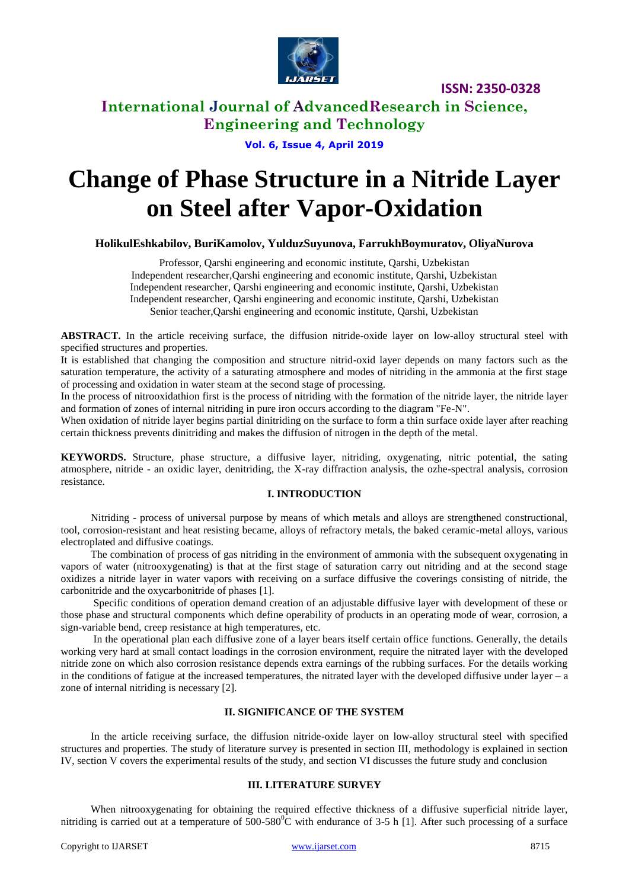

### **International Journal of AdvancedResearch in Science, Engineering and Technology**

### **Vol. 6, Issue 4, April 2019**

# **Change of Phase Structure in a Nitride Layer on Steel after Vapor-Oxidation**

**HolikulEshkabilov, BuriKamolov, YulduzSuyunova, FarrukhBoymuratov, OliyaNurova**

Professor, Qarshi engineering and economic institute, Qarshi, Uzbekistan Independent researcher,Qarshi engineering and economic institute, Qarshi, Uzbekistan Independent researcher, Qarshi engineering and economic institute, Qarshi, Uzbekistan Independent researcher, Qarshi engineering and economic institute, Qarshi, Uzbekistan Senior teacher,Qarshi engineering and economic institute, Qarshi, Uzbekistan

**ABSTRACT.** In the article receiving surface, the diffusion nitride-oxide layer on low-alloy structural steel with specified structures and properties.

It is established that changing the composition and structure nitrid-oxid layer depends on many factors such as the saturation temperature, the activity of a saturating atmosphere and modes of nitriding in the ammonia at the first stage of processing and oxidation in water steam at the second stage of processing.

In the process of nitrooxidathion first is the process of nitriding with the formation of the nitride layer, the nitride layer and formation of zones of internal nitriding in pure iron occurs according to the diagram "Fe-N".

When oxidation of nitride layer begins partial dinitriding on the surface to form a thin surface oxide layer after reaching certain thickness prevents dinitriding and makes the diffusion of nitrogen in the depth of the metal.

**KEYWORDS.** Structure, phase structure, a diffusive layer, nitriding, oxygenating, nitric potential, the sating atmosphere, nitride - an oxidic layer, denitriding, the X-ray diffraction analysis, the ozhe-spectral analysis, corrosion resistance.

### **I. INTRODUCTION**

Nitriding - process of universal purpose by means of which metals and alloys are strengthened constructional, tool, corrosion-resistant and heat resisting became, alloys of refractory metals, the baked ceramic-metal alloys, various electroplated and diffusive coatings.

The combination of process of gas nitriding in the environment of ammonia with the subsequent oxygenating in vapors of water (nitrooxygenating) is that at the first stage of saturation carry out nitriding and at the second stage oxidizes a nitride layer in water vapors with receiving on a surface diffusive the coverings consisting of nitride, the carbonitride and the oxycarbonitride of phases [1].

Specific conditions of operation demand creation of an adjustable diffusive layer with development of these or those phase and structural components which define operability of products in an operating mode of wear, corrosion, a sign-variable bend, creep resistance at high temperatures, etc.

In the operational plan each diffusive zone of a layer bears itself certain office functions. Generally, the details working very hard at small contact loadings in the corrosion environment, require the nitrated layer with the developed nitride zone on which also corrosion resistance depends extra earnings of the rubbing surfaces. For the details working in the conditions of fatigue at the increased temperatures, the nitrated layer with the developed diffusive under layer – a zone of internal nitriding is necessary [2].

### **II. SIGNIFICANCE OF THE SYSTEM**

In the article receiving surface, the diffusion nitride-oxide layer on low-alloy structural steel with specified structures and properties. The study of literature survey is presented in section III, methodology is explained in section IV, section V covers the experimental results of the study, and section VI discusses the future study and conclusion

#### **III. LITERATURE SURVEY**

When nitrooxygenating for obtaining the required effective thickness of a diffusive superficial nitride layer, nitriding is carried out at a temperature of  $500-580^{\circ}$ C with endurance of 3-5 h [1]. After such processing of a surface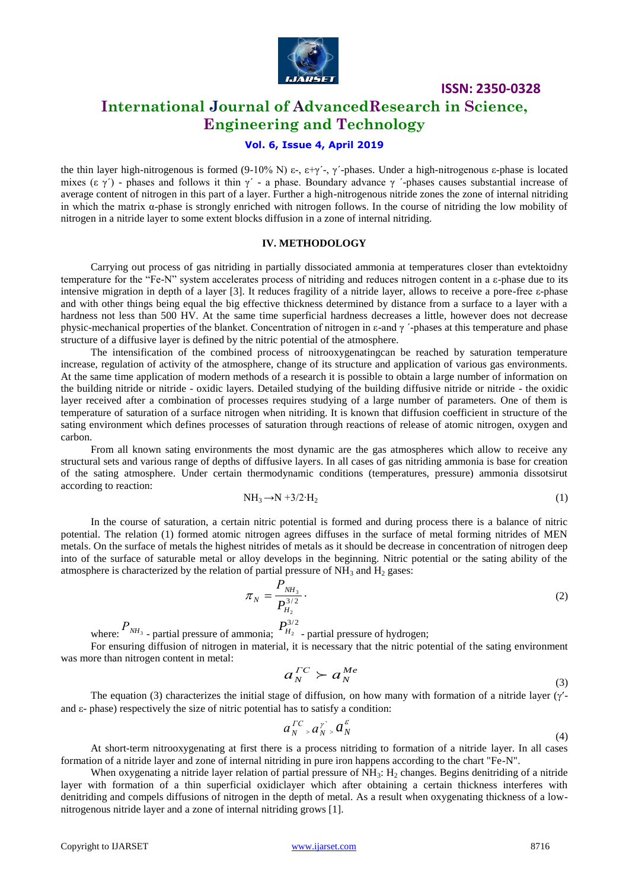

### **International Journal of AdvancedResearch in Science, Engineering and Technology**

### **Vol. 6, Issue 4, April 2019**

the thin layer high-nitrogenous is formed (9-10% Ν) ε-, ε+γ<sup>'</sup>-, γ'-phases. Under a high-nitrogenous ε-phase is located mixes (ε γ´) - phases and follows it thin γ´ - a phase. Boundary advance γ ´-phases causes substantial increase of average content of nitrogen in this part of a layer. Further a high-nitrogenous nitride zones the zone of internal nitriding in which the matrix α-phase is strongly enriched with nitrogen follows. In the course of nitriding the low mobility of nitrogen in a nitride layer to some extent blocks diffusion in a zone of internal nitriding.

#### **IV. METHODOLOGY**

Carrying out process of gas nitriding in partially dissociated ammonia at temperatures closer than evtektoidny temperature for the "Fe-N" system accelerates process of nitriding and reduces nitrogen content in a ε-phase due to its intensive migration in depth of a layer [3]. It reduces fragility of a nitride layer, allows to receive a pore-free ε-phase and with other things being equal the big effective thickness determined by distance from a surface to a layer with a hardness not less than 500 HV. At the same time superficial hardness decreases a little, however does not decrease physic-mechanical properties of the blanket. Concentration of nitrogen in ε-and γ ´-phases at this temperature and phase structure of a diffusive layer is defined by the nitric potential of the atmosphere.

The intensification of the combined process of nitrooxygenatingcan be reached by saturation temperature increase, regulation of activity of the atmosphere, change of its structure and application of various gas environments. At the same time application of modern methods of a research it is possible to obtain a large number of information on the building nitride or nitride - oxidic layers. Detailed studying of the building diffusive nitride or nitride - the oxidic layer received after a combination of processes requires studying of a large number of parameters. One of them is temperature of saturation of a surface nitrogen when nitriding. It is known that diffusion coefficient in structure of the sating environment which defines processes of saturation through reactions of release of atomic nitrogen, oxygen and carbon.

From all known sating environments the most dynamic are the gas atmospheres which allow to receive any structural sets and various range of depths of diffusive layers. In all cases of gas nitriding ammonia is base for creation of the sating atmosphere. Under certain thermodynamic conditions (temperatures, pressure) ammonia dissotsirut according to reaction:

$$
NH_3 \rightarrow N + 3/2 \cdot H_2 \tag{1}
$$

In the course of saturation, a certain nitric potential is formed and during process there is a balance of nitric potential. The relation (1) formed atomic nitrogen agrees diffuses in the surface of metal forming nitrides of MEN metals. On the surface of metals the highest nitrides of metals as it should be decrease in concentration of nitrogen deep into of the surface of saturable metal or alloy develops in the beginning. Nitric potential or the sating ability of the atmosphere is characterized by the relation of partial pressure of  $NH_3$  and  $H_2$  gases:

$$
\pi_N = \frac{P_{NH_3}}{P_{H_2}^{3/2}}.
$$
\n(2)

where:  $P_{NH_3}$  - partial pressure of ammonia;  $P_{H_2}^{3/2}$  - partial pressure of hydrogen;

For ensuring diffusion of nitrogen in material, it is necessary that the nitric potential of the sating environment was more than nitrogen content in metal:

$$
a_N^{TC} \succ a_N^{Me} \tag{3}
$$

The equation (3) characterizes the initial stage of diffusion, on how many with formation of a nitride layer  $(\gamma'$ and  $\varepsilon$ -phase) respectively the size of nitric potential has to satisfy a condition:

$$
a_N^{TC} \cdot a_N^{\gamma} \cdot a_N^{\varepsilon} \tag{4}
$$

At short-term nitrooxygenating at first there is a process nitriding to formation of a nitride layer. In all cases formation of a nitride layer and zone of internal nitriding in pure iron happens according to the chart "Fe-N".

When oxygenating a nitride layer relation of partial pressure of  $NH_3$ :  $H_2$  changes. Begins denitriding of a nitride layer with formation of a thin superficial oxidiclayer which after obtaining a certain thickness interferes with denitriding and compels diffusions of nitrogen in the depth of metal. As a result when oxygenating thickness of a lownitrogenous nitride layer and a zone of internal nitriding grows [1].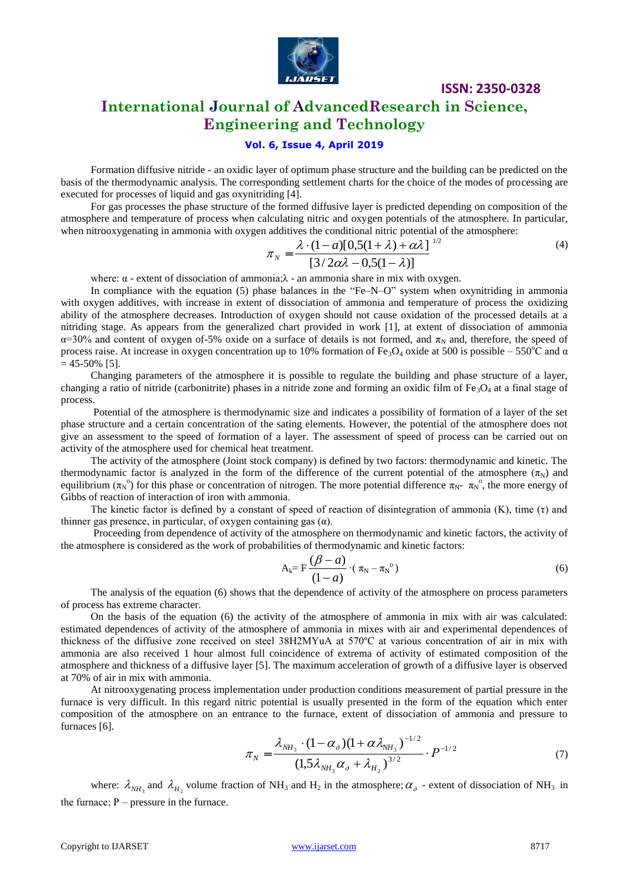

### **International Journal of AdvancedResearch in Science, Engineering and Technology**

### **Vol. 6, Issue 4, April 2019**

Formation diffusive nitride - an oxidic layer of optimum phase structure and the building can be predicted on the basis of the thermodynamic analysis. The corresponding settlement charts for the choice of the modes of processing are executed for processes of liquid and gas oxynitriding [4].

For gas processes the phase structure of the formed diffusive layer is predicted depending on composition of the atmosphere and temperature of process when calculating nitric and oxygen potentials of the atmosphere. In particular, when nitrooxygenating in ammonia with oxygen additives the conditional nitric potential of the atmosphere:

$$
\pi_N = \frac{\lambda \cdot (1-a)[0,5(1+\lambda)+\alpha\lambda]}{[3/2\alpha\lambda-0,5(1-\lambda)]}^{1/2}
$$
\n(4)

where:  $\alpha$  - extent of dissociation of ammonia; $\lambda$  - an ammonia share in mix with oxygen.

In compliance with the equation (5) phase balances in the "Fe–N–O" system when oxynitriding in ammonia with oxygen additives, with increase in extent of dissociation of ammonia and temperature of process the oxidizing ability of the atmosphere decreases. Introduction of oxygen should not cause oxidation of the processed details at a nitriding stage. As appears from the generalized chart provided in work [1], at extent of dissociation of ammonia  $\alpha$ =30% and content of oxygen of-5% oxide on a surface of details is not formed, and  $\pi_N$  and, therefore, the speed of process raise. At increase in oxygen concentration up to 10% formation of Fe<sub>3</sub>O<sub>4</sub> oxide at 500 is possible – 550<sup>o</sup>C and  $\alpha$  $= 45 - 50\%$  [5].

Changing parameters of the atmosphere it is possible to regulate the building and phase structure of a layer, changing a ratio of nitride (carbonitrite) phases in a nitride zone and forming an oxidic film of  $Fe<sub>3</sub>O<sub>4</sub>$  at a final stage of process.

Potential of the atmosphere is thermodynamic size and indicates a possibility of formation of a layer of the set phase structure and a certain concentration of the sating elements. However, the potential of the atmosphere does not give an assessment to the speed of formation of a layer. The assessment of speed of process can be carried out on activity of the atmosphere used for chemical heat treatment.

The activity of the atmosphere (Joint stock company) is defined by two factors: thermodynamic and kinetic. The thermodynamic factor is analyzed in the form of the difference of the current potential of the atmosphere  $(\pi_N)$  and equilibrium  $(\pi_N^{\circ})$  for this phase or concentration of nitrogen. The more potential difference  $\pi_N$ -  $\pi_N^{\circ}$ , the more energy of Gibbs of reaction of interaction of iron with ammonia.

The kinetic factor is defined by a constant of speed of reaction of disintegration of ammonia (K), time (τ) and thinner gas presence, in particular, of oxygen containing gas  $(\alpha)$ .

Proceeding from dependence of activity of the atmosphere on thermodynamic and kinetic factors, the activity of the atmosphere is considered as the work of probabilities of thermodynamic and kinetic factors:

$$
A_k = F\frac{(\beta - a)}{(1 - a)} \cdot (\pi_N - \pi_N^{\circ})
$$
\n
$$
(6)
$$

The analysis of the equation (6) shows that the dependence of activity of the atmosphere on process parameters of process has extreme character.

On the basis of the equation (6) the activity of the atmosphere of ammonia in mix with air was calculated: estimated dependences of activity of the atmosphere of ammonia in mixes with air and experimental dependences of thickness of the diffusive zone received on steel 38H2MYuA at 570ºС at various concentration of air in mix with ammonia are also received 1 hour almost full coincidence of extrema of activity of estimated composition of the atmosphere and thickness of a diffusive layer [5]. The maximum acceleration of growth of a diffusive layer is observed at 70% of air in mix with ammonia.

At nitrooxygenating process implementation under production conditions measurement of partial pressure in the furnace is very difficult. In this regard nitric potential is usually presented in the form of the equation which enter composition of the atmosphere on an entrance to the furnace, extent of dissociation of ammonia and pressure to furnaces [6].

$$
\pi_N = \frac{\lambda_{NH_3} \cdot (1 - \alpha_{\delta})(1 + \alpha \lambda_{NH_3})^{-1/2}}{(1.5\lambda_{NH_3}\alpha_{\delta} + \lambda_{H_2})^{3/2}} \cdot P^{-1/2}
$$
\n(7)

where:  $\lambda_{NH_3}$  and  $\lambda_{H_2}$  volume fraction of NH<sub>3</sub> and H<sub>2</sub> in the atmosphere;  $\alpha_{\delta}$  - extent of dissociation of NH<sub>3</sub> in the furnace;  $P$  – pressure in the furnace.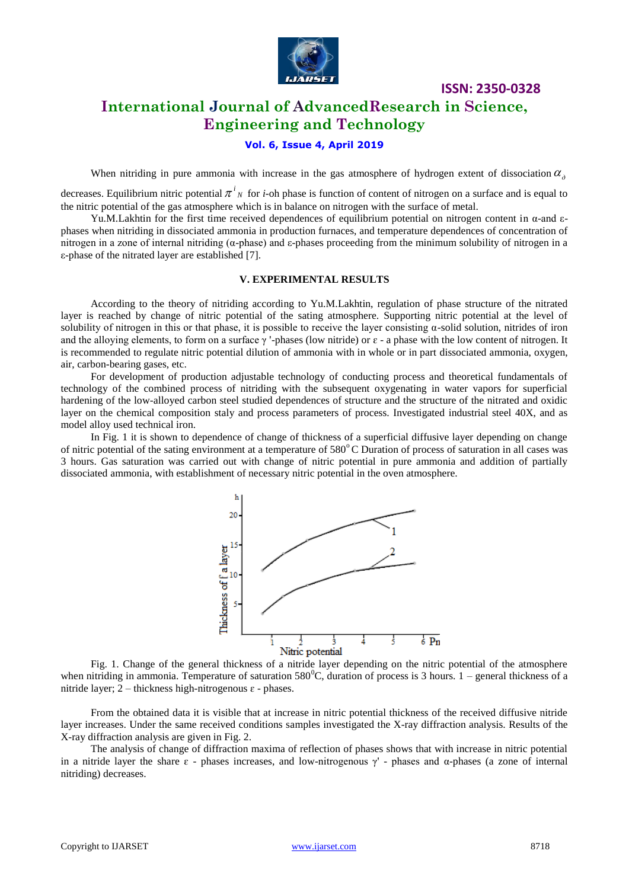

### **International Journal of AdvancedResearch in Science, Engineering and Technology**

# **Vol. 6, Issue 4, April 2019**

When nitriding in pure ammonia with increase in the gas atmosphere of hydrogen extent of dissociation  $\alpha_{\delta}$ 

decreases. Equilibrium nitric potential  $\pi^i{}_N$  for *i*-oh phase is function of content of nitrogen on a surface and is equal to the nitric potential of the gas atmosphere which is in balance on nitrogen with the surface of metal.

Yu.M.Lakhtin for the first time received dependences of equilibrium potential on nitrogen content in α-and εphases when nitriding in dissociated ammonia in production furnaces, and temperature dependences of concentration of nitrogen in a zone of internal nitriding (α-phase) and ε-phases proceeding from the minimum solubility of nitrogen in a ε-phase of the nitrated layer are established [7].

#### **V. EXPERIMENTAL RESULTS**

According to the theory of nitriding according to Yu.M.Lakhtin, regulation of phase structure of the nitrated layer is reached by change of nitric potential of the sating atmosphere. Supporting nitric potential at the level of solubility of nitrogen in this or that phase, it is possible to receive the layer consisting  $\alpha$ -solid solution, nitrides of iron and the alloying elements, to form on a surface  $\gamma$  '-phases (low nitride) or  $\varepsilon$  - a phase with the low content of nitrogen. It is recommended to regulate nitric potential dilution of ammonia with in whole or in part dissociated ammonia, oxygen, air, carbon-bearing gases, etc.

For development of production adjustable technology of conducting process and theoretical fundamentals of technology of the combined process of nitriding with the subsequent oxygenating in water vapors for superficial hardening of the low-alloyed carbon steel studied dependences of structure and the structure of the nitrated and oxidic layer on the chemical composition staly and process parameters of process. Investigated industrial steel 40X, and as model alloy used technical iron.

In Fig. 1 it is shown to dependence of change of thickness of a superficial diffusive layer depending on change of nitric potential of the sating environment at a temperature of 580°C Duration of process of saturation in all cases was 3 hours. Gas saturation was carried out with change of nitric potential in pure ammonia and addition of partially dissociated ammonia, with establishment of necessary nitric potential in the oven atmosphere.



Fig. 1. Change of the general thickness of a nitride layer depending on the nitric potential of the atmosphere when nitriding in ammonia. Temperature of saturation  $580^{\circ}$ C, duration of process is 3 hours. 1 – general thickness of a nitride layer; 2 – thickness high-nitrogenous  $\varepsilon$  - phases.

From the obtained data it is visible that at increase in nitric potential thickness of the received diffusive nitride layer increases. Under the same received conditions samples investigated the X-ray diffraction analysis. Results of the X-ray diffraction analysis are given in Fig. 2.

The analysis of change of diffraction maxima of reflection of phases shows that with increase in nitric potential in a nitride layer the share  $\epsilon$  - phases increases, and low-nitrogenous  $\gamma'$  - phases and α-phases (a zone of internal nitriding) decreases.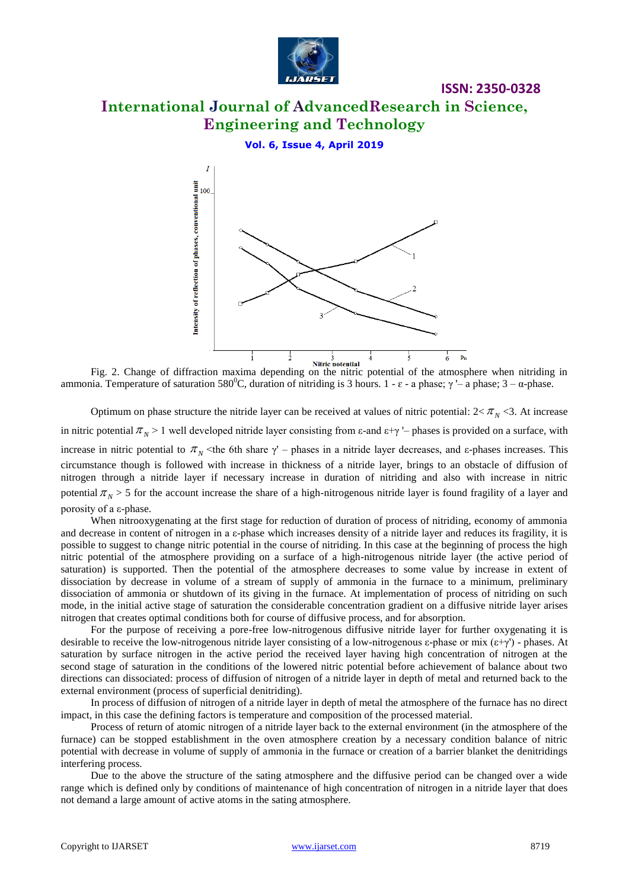

# **International Journal of AdvancedResearch in Science, Engineering and Technology**

**ISSN: 2350-0328**

**Vol. 6, Issue 4, April 2019**



Fig. 2. Change of diffraction maxima depending on the nitric potential of the atmosphere when nitriding in ammonia. Temperature of saturation 580<sup>0</sup>C, duration of nitriding is 3 hours. 1 - ε - a phase; γ '– a phase; 3 – α-phase.

Optimum on phase structure the nitride layer can be received at values of nitric potential:  $2 < \pi_N < 3$ . At increase in nitric potential  $\pi_N$  > 1 well developed nitride layer consisting from  $\varepsilon$ -and  $\varepsilon+\gamma$  '– phases is provided on a surface, with increase in nitric potential to  $\pi_N$  <the 6th share γ' – phases in a nitride layer decreases, and ε-phases increases. This circumstance though is followed with increase in thickness of a nitride layer, brings to an obstacle of diffusion of nitrogen through a nitride layer if necessary increase in duration of nitriding and also with increase in nitric potential  $\pi_N$  > 5 for the account increase the share of a high-nitrogenous nitride layer is found fragility of a layer and porosity of a ε-phase.

When nitrooxygenating at the first stage for reduction of duration of process of nitriding, economy of ammonia and decrease in content of nitrogen in a ε-phase which increases density of a nitride layer and reduces its fragility, it is possible to suggest to change nitric potential in the course of nitriding. In this case at the beginning of process the high nitric potential of the atmosphere providing on a surface of a high-nitrogenous nitride layer (the active period of saturation) is supported. Then the potential of the atmosphere decreases to some value by increase in extent of dissociation by decrease in volume of a stream of supply of ammonia in the furnace to a minimum, preliminary dissociation of ammonia or shutdown of its giving in the furnace. At implementation of process of nitriding on such mode, in the initial active stage of saturation the considerable concentration gradient on a diffusive nitride layer arises nitrogen that creates optimal conditions both for course of diffusive process, and for absorption.

For the purpose of receiving a pore-free low-nitrogenous diffusive nitride layer for further oxygenating it is desirable to receive the low-nitrogenous nitride layer consisting of a low-nitrogenous ε-phase or mix  $(\epsilon + \gamma')$  - phases. At saturation by surface nitrogen in the active period the received layer having high concentration of nitrogen at the second stage of saturation in the conditions of the lowered nitric potential before achievement of balance about two directions can dissociated: process of diffusion of nitrogen of a nitride layer in depth of metal and returned back to the external environment (process of superficial denitriding).

In process of diffusion of nitrogen of a nitride layer in depth of metal the atmosphere of the furnace has no direct impact, in this case the defining factors is temperature and composition of the processed material.

Process of return of atomic nitrogen of a nitride layer back to the external environment (in the atmosphere of the furnace) can be stopped establishment in the oven atmosphere creation by a necessary condition balance of nitric potential with decrease in volume of supply of ammonia in the furnace or creation of a barrier blanket the denitridings interfering process.

Due to the above the structure of the sating atmosphere and the diffusive period can be changed over a wide range which is defined only by conditions of maintenance of high concentration of nitrogen in a nitride layer that does not demand a large amount of active atoms in the sating atmosphere.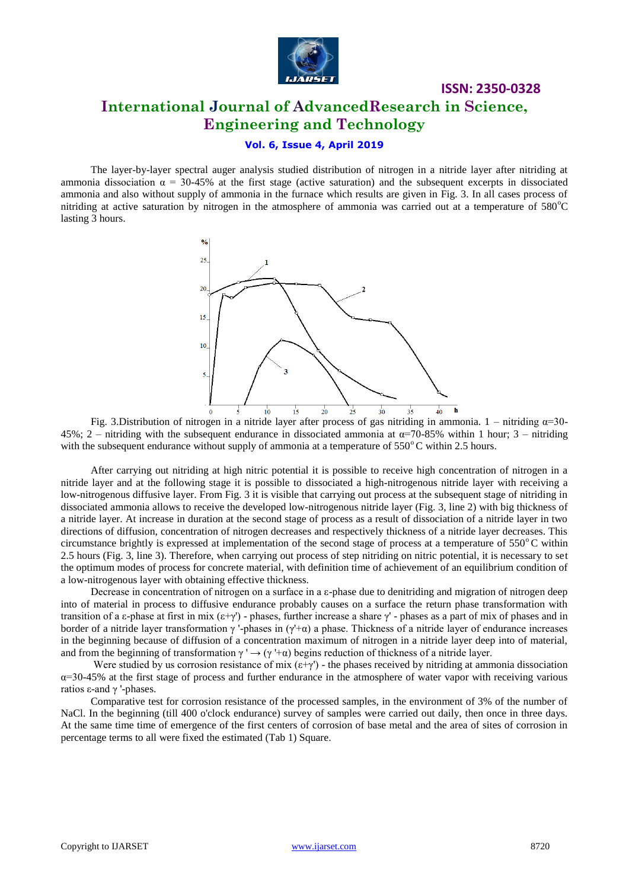

# **ISSN: 2350-0328 International Journal of AdvancedResearch in Science, Engineering and Technology**

### **Vol. 6, Issue 4, April 2019**

The layer-by-layer spectral auger analysis studied distribution of nitrogen in a nitride layer after nitriding at ammonia dissociation  $\alpha = 30-45\%$  at the first stage (active saturation) and the subsequent excerpts in dissociated ammonia and also without supply of ammonia in the furnace which results are given in Fig. 3. In all cases process of nitriding at active saturation by nitrogen in the atmosphere of ammonia was carried out at a temperature of  $580^{\circ}$ C lasting 3 hours.



Fig. 3.Distribution of nitrogen in a nitride layer after process of gas nitriding in ammonia. 1 – nitriding  $\alpha$ =30-45%; 2 – nitriding with the subsequent endurance in dissociated ammonia at  $\alpha$ =70-85% within 1 hour; 3 – nitriding with the subsequent endurance without supply of ammonia at a temperature of  $550^{\circ}$ C within 2.5 hours.

After carrying out nitriding at high nitric potential it is possible to receive high concentration of nitrogen in a nitride layer and at the following stage it is possible to dissociated a high-nitrogenous nitride layer with receiving a low-nitrogenous diffusive layer. From Fig. 3 it is visible that carrying out process at the subsequent stage of nitriding in dissociated ammonia allows to receive the developed low-nitrogenous nitride layer (Fig. 3, line 2) with big thickness of a nitride layer. At increase in duration at the second stage of process as a result of dissociation of a nitride layer in two directions of diffusion, concentration of nitrogen decreases and respectively thickness of a nitride layer decreases. This circumstance brightly is expressed at implementation of the second stage of process at a temperature of  $550^{\circ}$ C within 2.5 hours (Fig. 3, line 3). Therefore, when carrying out process of step nitriding on nitric potential, it is necessary to set the optimum modes of process for concrete material, with definition time of achievement of an equilibrium condition of a low-nitrogenous layer with obtaining effective thickness.

Decrease in concentration of nitrogen on a surface in a ε-phase due to denitriding and migration of nitrogen deep into of material in process to diffusive endurance probably causes on a surface the return phase transformation with transition of a ε-phase at first in mix  $(\epsilon+\gamma')$ -phases, further increase a share  $\gamma'$ -phases as a part of mix of phases and in border of a nitride layer transformation  $\gamma$  '-phases in ( $\gamma$ '+ $\alpha$ ) a phase. Thickness of a nitride layer of endurance increases in the beginning because of diffusion of a concentration maximum of nitrogen in a nitride layer deep into of material, and from the beginning of transformation  $\gamma' \rightarrow (\gamma' + \alpha)$  begins reduction of thickness of a nitride layer.

Were studied by us corrosion resistance of mix  $(\epsilon+\gamma')$  - the phases received by nitriding at ammonia dissociation  $\alpha$ =30-45% at the first stage of process and further endurance in the atmosphere of water vapor with receiving various ratios ε-and γ '-phases.

Comparative test for corrosion resistance of the processed samples, in the environment of 3% of the number of NaCl. In the beginning (till 400 o'clock endurance) survey of samples were carried out daily, then once in three days. At the same time time of emergence of the first centers of corrosion of base metal and the area of sites of corrosion in percentage terms to all were fixed the estimated (Tab 1) Square.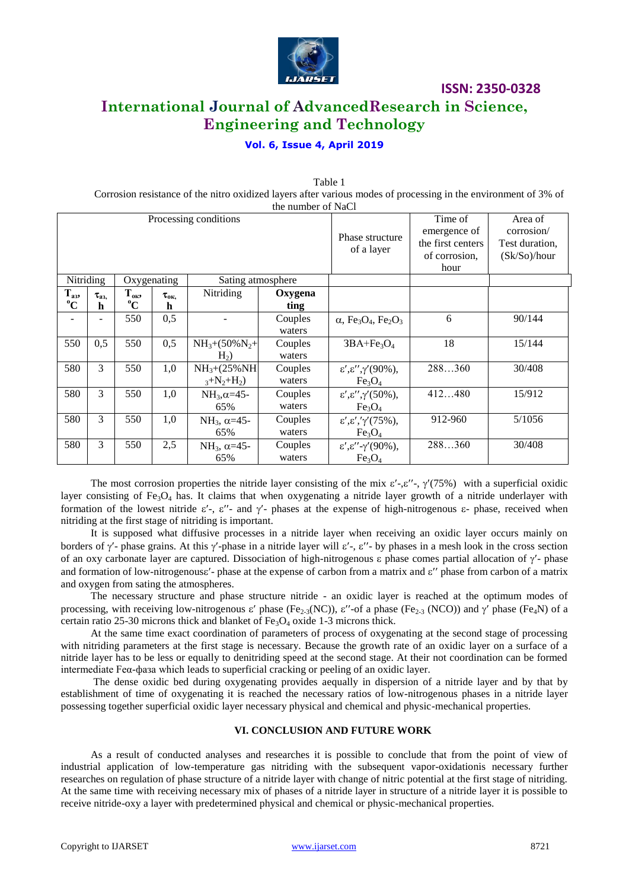

**ISSN: 2350-0328 International Journal of AdvancedResearch in Science, Engineering and Technology**

### **Vol. 6, Issue 4, April 2019**

Table 1 Corrosion resistance of the nitro oxidized layers after various modes of processing in the environment of 3% of

| the number of NaCl      |                  |                                 |                       |                                    |                   |                                                                                     |                                                                       |                                                         |
|-------------------------|------------------|---------------------------------|-----------------------|------------------------------------|-------------------|-------------------------------------------------------------------------------------|-----------------------------------------------------------------------|---------------------------------------------------------|
| Processing conditions   |                  |                                 |                       |                                    |                   | Phase structure<br>of a layer                                                       | Time of<br>emergence of<br>the first centers<br>of corrosion,<br>hour | Area of<br>corrosion/<br>Test duration,<br>(Sk/So)/hour |
| Nitriding               |                  | Oxygenating                     |                       | Sating atmosphere                  |                   |                                                                                     |                                                                       |                                                         |
| $T_{a3}$<br>$\rm ^{0}C$ | $\tau_{a3}$<br>h | $T_{\text{OK2}}$<br>$\rm ^{o}C$ | $\tau_{\rm{ok}}$<br>h | Nitriding                          | Oxygena<br>ting   |                                                                                     |                                                                       |                                                         |
|                         |                  | 550                             | 0,5                   |                                    | Couples<br>waters | $\alpha$ , Fe <sub>3</sub> O <sub>4</sub> , Fe <sub>2</sub> O <sub>3</sub>          | 6                                                                     | 90/144                                                  |
| 550                     | 0,5              | 550                             | 0,5                   | $NH_3+(50\%N_2+$<br>H <sub>2</sub> | Couples<br>waters | $3BA+Fe3O4$                                                                         | 18                                                                    | 15/144                                                  |
| 580                     | 3                | 550                             | 1,0                   | $NH_3+(25\%NH)$<br>$_3+N_2+H_2$ )  | Couples<br>waters | $\varepsilon',\varepsilon'',\gamma'(90\%),$<br>Fe <sub>3</sub> O <sub>4</sub>       | 288360                                                                | 30/408                                                  |
| 580                     | 3                | 550                             | 1,0                   | $NH_3, \alpha = 45$ -<br>65%       | Couples<br>waters | $\varepsilon', \varepsilon'', \gamma'(50\%),$<br>Fe <sub>3</sub> O <sub>4</sub>     | 412480                                                                | 15/912                                                  |
| 580                     | 3                | 550                             | 1,0                   | $NH_3$ , $\alpha=45$ -<br>65%      | Couples<br>waters | $\varepsilon', \varepsilon', \gamma'(75\%),$<br>Fe <sub>3</sub> O <sub>4</sub>      | 912-960                                                               | 5/1056                                                  |
| 580                     | 3                | 550                             | 2,5                   | $NH_3$ , $\alpha=45$ -<br>65%      | Couples<br>waters | $\varepsilon', \varepsilon''$ - $\gamma'(90\%)$ ,<br>Fe <sub>3</sub> O <sub>4</sub> | 288360                                                                | 30/408                                                  |

The most corrosion properties the nitride layer consisting of the mix  $\varepsilon'$ -,  $\varepsilon''$ -,  $\gamma'(75%)$  with a superficial oxidic layer consisting of Fe<sub>3</sub>O<sub>4</sub> has. It claims that when oxygenating a nitride layer growth of a nitride underlayer with formation of the lowest nitride  $\varepsilon'$ -,  $\varepsilon''$ - and  $\gamma'$ - phases at the expense of high-nitrogenous  $\varepsilon$ - phase, received when nitriding at the first stage of nitriding is important.

It is supposed what diffusive processes in a nitride layer when receiving an oxidic layer occurs mainly on borders of  $\gamma'$ - phase grains. At this  $\gamma'$ -phase in a nitride layer will  $\varepsilon'$ -,  $\varepsilon''$ - by phases in a mesh look in the cross section of an oxy carbonate layer are captured. Dissociation of high-nitrogenous  $\varepsilon$  phase comes partial allocation of  $\gamma'$ - phase and formation of low-nitrogenouse'- phase at the expense of carbon from a matrix and  $\varepsilon$ " phase from carbon of a matrix and oxygen from sating the atmospheres.

The necessary structure and phase structure nitride - an oxidic layer is reached at the optimum modes of processing, with receiving low-nitrogenous  $\varepsilon'$  phase (Fe<sub>2-3</sub>(NC)),  $\varepsilon''$ -of a phase (Fe<sub>2-3</sub> (NCO)) and  $\gamma'$  phase (Fe<sub>4</sub>N) of a certain ratio 25-30 microns thick and blanket of  $Fe<sub>3</sub>O<sub>4</sub>$  oxide 1-3 microns thick.

At the same time exact coordination of parameters of process of oxygenating at the second stage of processing with nitriding parameters at the first stage is necessary. Because the growth rate of an oxidic layer on a surface of a nitride layer has to be less or equally to denitriding speed at the second stage. At their not coordination can be formed intermediate Feα-фаза which leads to superficial cracking or peeling of an oxidic layer.

The dense oxidic bed during oxygenating provides aequally in dispersion of a nitride layer and by that by establishment of time of oxygenating it is reached the necessary ratios of low-nitrogenous phases in a nitride layer possessing together superficial oxidic layer necessary physical and chemical and physic-mechanical properties.

#### **VI. CONCLUSION AND FUTURE WORK**

As a result of conducted analyses and researches it is possible to conclude that from the point of view of industrial application of low-temperature gas nitriding with the subsequent vapor-oxidationis necessary further researches on regulation of phase structure of a nitride layer with change of nitric potential at the first stage of nitriding. At the same time with receiving necessary mix of phases of a nitride layer in structure of a nitride layer it is possible to receive nitride-oxy a layer with predetermined physical and chemical or physic-mechanical properties.